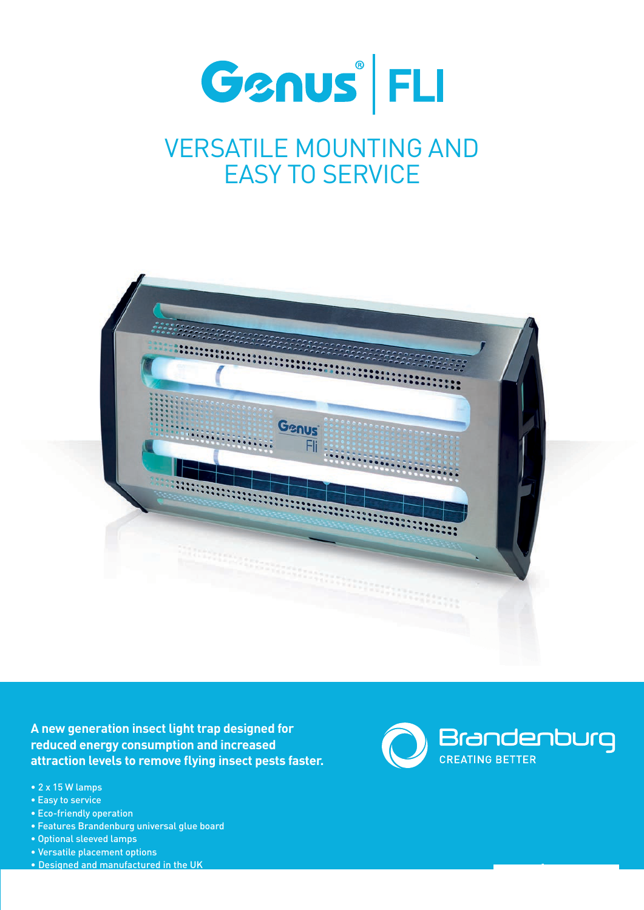

## VERSATILE MOUNTING AND EASY TO SERVICE



**A new generation insect light trap designed for reduced energy consumption and increased attraction levels to remove flying insect pests faster.**

- 2 x 15 W lamps
- Easy to service
- Eco-friendly operation
- Features Brandenburg universal glue board
- Optional sleeved lamps
- Versatile placement options
- Designed and manufactured in the UK



**www.b-one.com**